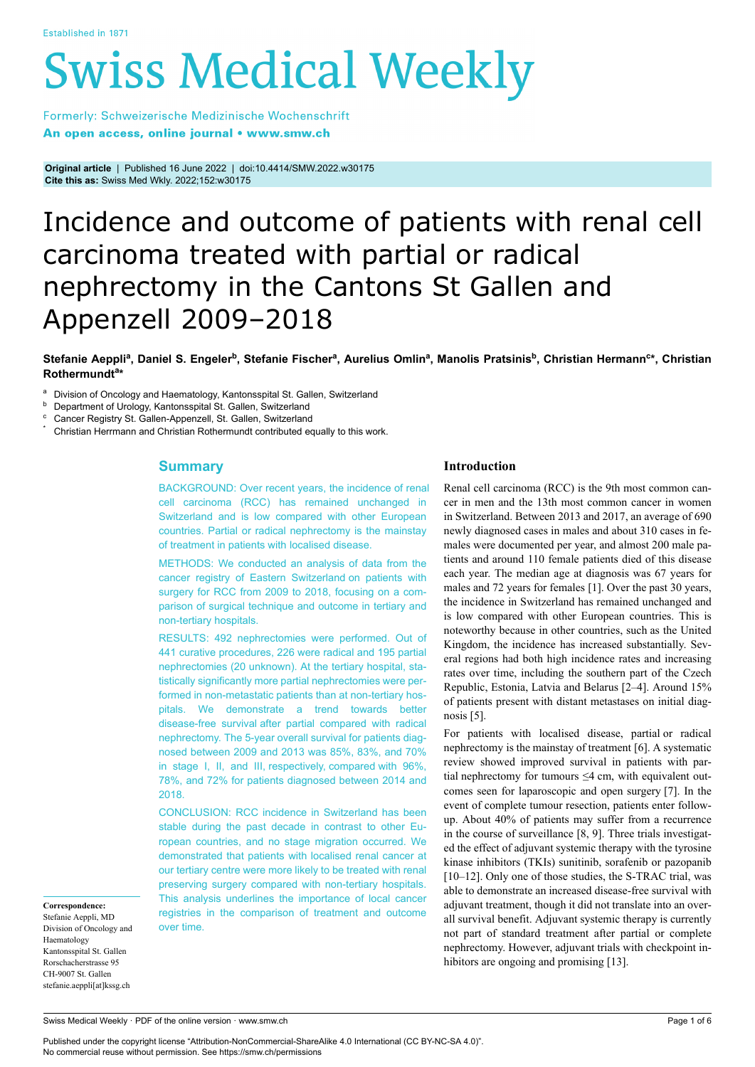# **Swiss Medical Weekly**

Formerly: Schweizerische Medizinische Wochenschrift An open access, online journal • www.smw.ch

**Original article** | Published 16 June 2022 | doi:10.4414/SMW.2022.w30175 **Cite this as:** Swiss Med Wkly. 2022;152:w30175

# Incidence and outcome of patients with renal cell carcinoma treated with partial or radical nephrectomy in the Cantons St Gallen and Appenzell 2009–2018

 $S$ tefanie Aeppli<sup>a</sup>, Daniel S. Engeler<sup>b</sup>, Stefanie Fischer<sup>a</sup>, Aurelius Omlin<sup>a</sup>, Manolis Pratsinis<sup>b</sup>, Christian Hermann<sup>c</sup>\*, Christian **Rothermundt<sup>a</sup> \***

a Division of Oncology and Haematology, Kantonsspital St. Gallen, Switzerland

**b** Department of Urology, Kantonsspital St. Gallen, Switzerland

Cancer Registry St. Gallen-Appenzell, St. Gallen, Switzerland

Christian Herrmann and Christian Rothermundt contributed equally to this work.

# **Summary**

BACKGROUND: Over recent years, the incidence of renal cell carcinoma (RCC) has remained unchanged in Switzerland and is low compared with other European countries. Partial or radical nephrectomy is the mainstay of treatment in patients with localised disease.

METHODS: We conducted an analysis of data from the cancer registry of Eastern Switzerland on patients with surgery for RCC from 2009 to 2018, focusing on a comparison of surgical technique and outcome in tertiary and non-tertiary hospitals.

RESULTS: 492 nephrectomies were performed. Out of 441 curative procedures, 226 were radical and 195 partial nephrectomies (20 unknown). At the tertiary hospital, statistically significantly more partial nephrectomies were performed in non-metastatic patients than at non-tertiary hospitals. We demonstrate a trend towards better disease-free survival after partial compared with radical nephrectomy. The 5-year overall survival for patients diagnosed between 2009 and 2013 was 85%, 83%, and 70% in stage I, II, and III, respectively, compared with 96%, 78%, and 72% for patients diagnosed between 2014 and 2018.

CONCLUSION: RCC incidence in Switzerland has been stable during the past decade in contrast to other European countries, and no stage migration occurred. We demonstrated that patients with localised renal cancer at our tertiary centre were more likely to be treated with renal preserving surgery compared with non-tertiary hospitals. This analysis underlines the importance of local cancer registries in the comparison of treatment and outcome over time.

# **Introduction**

Renal cell carcinoma (RCC) is the 9th most common cancer in men and the 13th most common cancer in women in Switzerland. Between 2013 and 2017, an average of 690 newly diagnosed cases in males and about 310 cases in females were documented per year, and almost 200 male patients and around 110 female patients died of this disease each year. The median age at diagnosis was 67 years for males and 72 years for females [1]. Over the past 30 years, the incidence in Switzerland has remained unchanged and is low compared with other European countries. This is noteworthy because in other countries, such as the United Kingdom, the incidence has increased substantially. Several regions had both high incidence rates and increasing rates over time, including the southern part of the Czech Republic, Estonia, Latvia and Belarus [2–4]. Around 15% of patients present with distant metastases on initial diagnosis [5].

For patients with localised disease, partial or radical nephrectomy is the mainstay of treatment [6]. A systematic review showed improved survival in patients with partial nephrectomy for tumours  $\leq 4$  cm, with equivalent outcomes seen for laparoscopic and open surgery [7]. In the event of complete tumour resection, patients enter followup. About 40% of patients may suffer from a recurrence in the course of surveillance [8, 9]. Three trials investigated the effect of adjuvant systemic therapy with the tyrosine kinase inhibitors (TKIs) sunitinib, sorafenib or pazopanib [10–12]. Only one of those studies, the S-TRAC trial, was able to demonstrate an increased disease-free survival with adjuvant treatment, though it did not translate into an overall survival benefit. Adjuvant systemic therapy is currently not part of standard treatment after partial or complete nephrectomy. However, adjuvant trials with checkpoint inhibitors are ongoing and promising [13].

**Correspondence:** Stefanie Aeppli, MD Division of Oncology and Haematology Kantonsspital St. Gallen Rorschacherstrasse 95 CH-9007 St. Gallen stefanie.aeppli[at]kssg.ch

Swiss Medical Weekly · PDF of the online version · www.smw.ch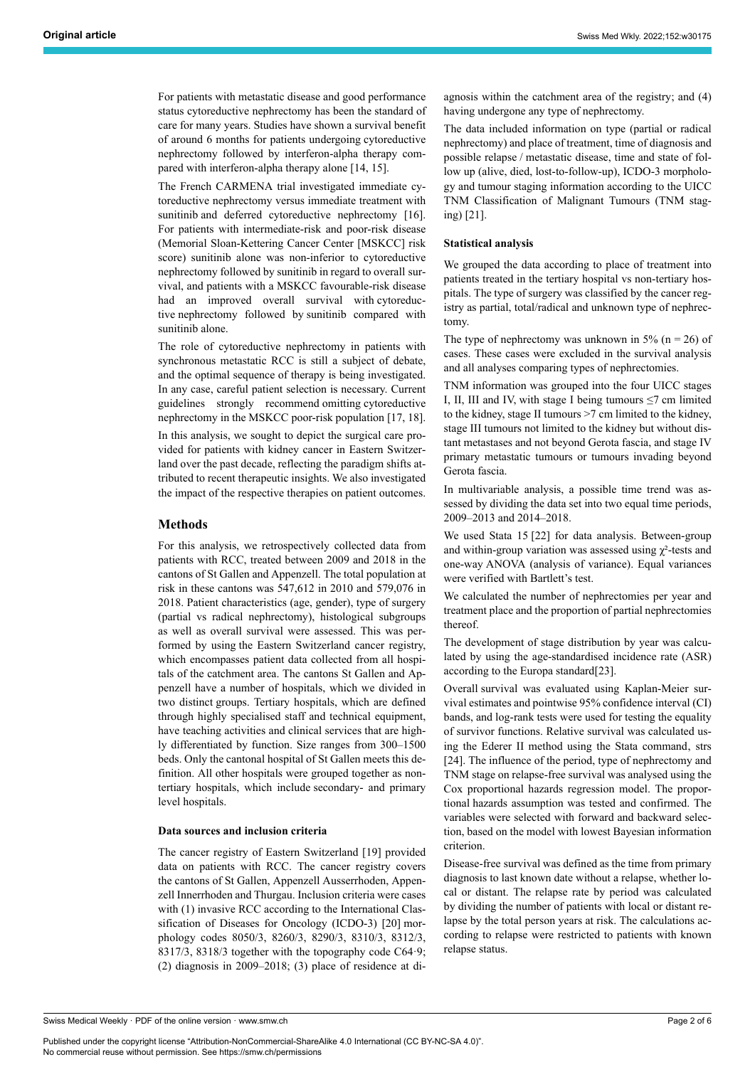For patients with metastatic disease and good performance status cytoreductive nephrectomy has been the standard of care for many years. Studies have shown a survival benefit of around 6 months for patients undergoing cytoreductive nephrectomy followed by interferon-alpha therapy compared with interferon-alpha therapy alone [14, 15].

The French CARMENA trial investigated immediate cytoreductive nephrectomy versus immediate treatment with sunitinib and deferred cytoreductive nephrectomy [16]. For patients with intermediate-risk and poor-risk disease (Memorial Sloan-Kettering Cancer Center [MSKCC] risk score) sunitinib alone was non-inferior to cytoreductive nephrectomy followed by sunitinib in regard to overall survival, and patients with a MSKCC favourable-risk disease had an improved overall survival with cytoreductive nephrectomy followed by sunitinib compared with sunitinib alone.

The role of cytoreductive nephrectomy in patients with synchronous metastatic RCC is still a subject of debate, and the optimal sequence of therapy is being investigated. In any case, careful patient selection is necessary. Current guidelines strongly recommend omitting cytoreductive nephrectomy in the MSKCC poor-risk population [17, 18].

In this analysis, we sought to depict the surgical care provided for patients with kidney cancer in Eastern Switzerland over the past decade, reflecting the paradigm shifts attributed to recent therapeutic insights. We also investigated the impact of the respective therapies on patient outcomes.

# **Methods**

For this analysis, we retrospectively collected data from patients with RCC, treated between 2009 and 2018 in the cantons of St Gallen and Appenzell. The total population at risk in these cantons was 547,612 in 2010 and 579,076 in 2018. Patient characteristics (age, gender), type of surgery (partial vs radical nephrectomy), histological subgroups as well as overall survival were assessed. This was performed by using the Eastern Switzerland cancer registry, which encompasses patient data collected from all hospitals of the catchment area. The cantons St Gallen and Appenzell have a number of hospitals, which we divided in two distinct groups. Tertiary hospitals, which are defined through highly specialised staff and technical equipment, have teaching activities and clinical services that are highly differentiated by function. Size ranges from 300–1500 beds. Only the cantonal hospital of St Gallen meets this definition. All other hospitals were grouped together as nontertiary hospitals, which include secondary- and primary level hospitals.

# **Data sources and inclusion criteria**

The cancer registry of Eastern Switzerland [19] provided data on patients with RCC. The cancer registry covers the cantons of St Gallen, Appenzell Ausserrhoden, Appenzell Innerrhoden and Thurgau. Inclusion criteria were cases with (1) invasive RCC according to the International Classification of Diseases for Oncology (ICDO-3) [20] morphology codes 8050/3, 8260/3, 8290/3, 8310/3, 8312/3, 8317/3, 8318/3 together with the topography code C64·9; (2) diagnosis in 2009–2018; (3) place of residence at diagnosis within the catchment area of the registry; and (4) having undergone any type of nephrectomy.

The data included information on type (partial or radical nephrectomy) and place of treatment, time of diagnosis and possible relapse / metastatic disease, time and state of follow up (alive, died, lost-to-follow-up), ICDO-3 morphology and tumour staging information according to the UICC TNM Classification of Malignant Tumours (TNM staging) [21].

# **Statistical analysis**

We grouped the data according to place of treatment into patients treated in the tertiary hospital vs non-tertiary hospitals. The type of surgery was classified by the cancer registry as partial, total/radical and unknown type of nephrectomy.

The type of nephrectomy was unknown in 5% ( $n = 26$ ) of cases. These cases were excluded in the survival analysis and all analyses comparing types of nephrectomies.

TNM information was grouped into the four UICC stages I, II, III and IV, with stage I being tumours  $\leq$ 7 cm limited to the kidney, stage II tumours >7 cm limited to the kidney, stage III tumours not limited to the kidney but without distant metastases and not beyond Gerota fascia, and stage IV primary metastatic tumours or tumours invading beyond Gerota fascia.

In multivariable analysis, a possible time trend was assessed by dividing the data set into two equal time periods, 2009–2013 and 2014–2018.

We used Stata 15 [22] for data analysis. Between-group and within-group variation was assessed using  $\chi^2$ -tests and one-way ANOVA (analysis of variance). Equal variances were verified with Bartlett's test.

We calculated the number of nephrectomies per year and treatment place and the proportion of partial nephrectomies thereof.

The development of stage distribution by year was calculated by using the age-standardised incidence rate (ASR) according to the Europa standard[23].

Overall survival was evaluated using Kaplan-Meier survival estimates and pointwise 95% confidence interval (CI) bands, and log-rank tests were used for testing the equality of survivor functions. Relative survival was calculated using the Ederer II method using the Stata command, strs [24]. The influence of the period, type of nephrectomy and TNM stage on relapse-free survival was analysed using the Cox proportional hazards regression model. The proportional hazards assumption was tested and confirmed. The variables were selected with forward and backward selection, based on the model with lowest Bayesian information criterion.

Disease-free survival was defined as the time from primary diagnosis to last known date without a relapse, whether local or distant. The relapse rate by period was calculated by dividing the number of patients with local or distant relapse by the total person years at risk. The calculations according to relapse were restricted to patients with known relapse status.

Swiss Medical Weekly · PDF of the online version · www.smw.ch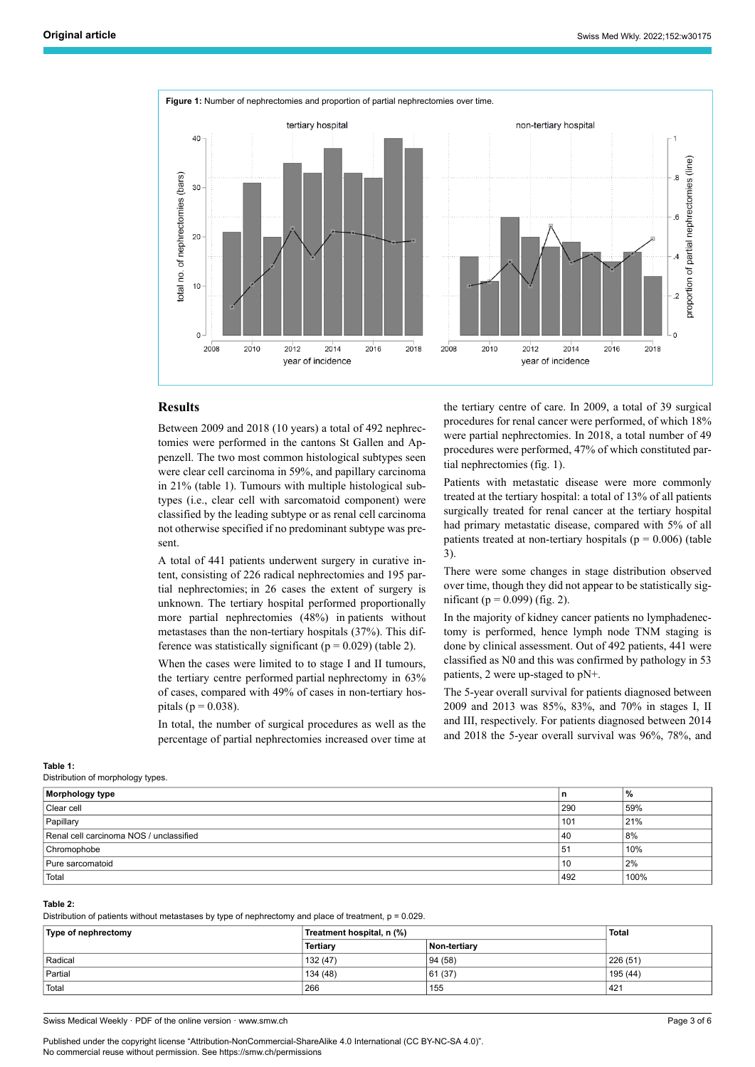

# **Results**

Between 2009 and 2018 (10 years) a total of 492 nephrectomies were performed in the cantons St Gallen and Appenzell. The two most common histological subtypes seen were clear cell carcinoma in 59%, and papillary carcinoma in 21% (table 1). Tumours with multiple histological subtypes (i.e., clear cell with sarcomatoid component) were classified by the leading subtype or as renal cell carcinoma not otherwise specified if no predominant subtype was present.

A total of 441 patients underwent surgery in curative intent, consisting of 226 radical nephrectomies and 195 partial nephrectomies; in 26 cases the extent of surgery is unknown. The tertiary hospital performed proportionally more partial nephrectomies (48%) in patients without metastases than the non-tertiary hospitals (37%). This difference was statistically significant ( $p = 0.029$ ) (table 2).

When the cases were limited to to stage I and II tumours, the tertiary centre performed partial nephrectomy in 63% of cases, compared with 49% of cases in non-tertiary hospitals ( $p = 0.038$ ).

In total, the number of surgical procedures as well as the percentage of partial nephrectomies increased over time at the tertiary centre of care. In 2009, a total of 39 surgical procedures for renal cancer were performed, of which 18% were partial nephrectomies. In 2018, a total number of 49 procedures were performed, 47% of which constituted partial nephrectomies (fig. 1).

Patients with metastatic disease were more commonly treated at the tertiary hospital: a total of 13% of all patients surgically treated for renal cancer at the tertiary hospital had primary metastatic disease, compared with 5% of all patients treated at non-tertiary hospitals ( $p = 0.006$ ) (table 3).

There were some changes in stage distribution observed over time, though they did not appear to be statistically significant ( $p = 0.099$ ) (fig. 2).

In the majority of kidney cancer patients no lymphadenectomy is performed, hence lymph node TNM staging is done by clinical assessment. Out of 492 patients, 441 were classified as N0 and this was confirmed by pathology in 53 patients, 2 were up-staged to pN+.

The 5-year overall survival for patients diagnosed between 2009 and 2013 was 85%, 83%, and 70% in stages I, II and III, respectively. For patients diagnosed between 2014 and 2018 the 5-year overall survival was 96%, 78%, and

## **Table 1:**

Distribution of morphology types.

| - 77                                    |     |      |
|-----------------------------------------|-----|------|
| Morphology type                         | n   | %    |
| Clear cell                              | 290 | 59%  |
| Papillary                               | 101 | 21%  |
| Renal cell carcinoma NOS / unclassified | 40  | 8%   |
| Chromophobe                             | 51  | 10%  |
| Pure sarcomatoid                        | 10  | 2%   |
| Total                                   | 492 | 100% |

#### **Table 2:**

Distribution of patients without metastases by type of nephrectomy and place of treatment, p = 0.029.

| Type of nephrectomy | Treatment hospital, n (%) |              | <b>Total</b> |
|---------------------|---------------------------|--------------|--------------|
|                     | <b>Tertiary</b>           | Non-tertiarv |              |
| Radical             | 132 (47)                  | 94 (58)      | 226 (51)     |
| Partial             | 134 (48)                  | 61 (37)      | 195 (44)     |
| Total               | 266                       | 155          | 421          |
|                     |                           |              |              |

Swiss Medical Weekly · PDF of the online version · www.smw.ch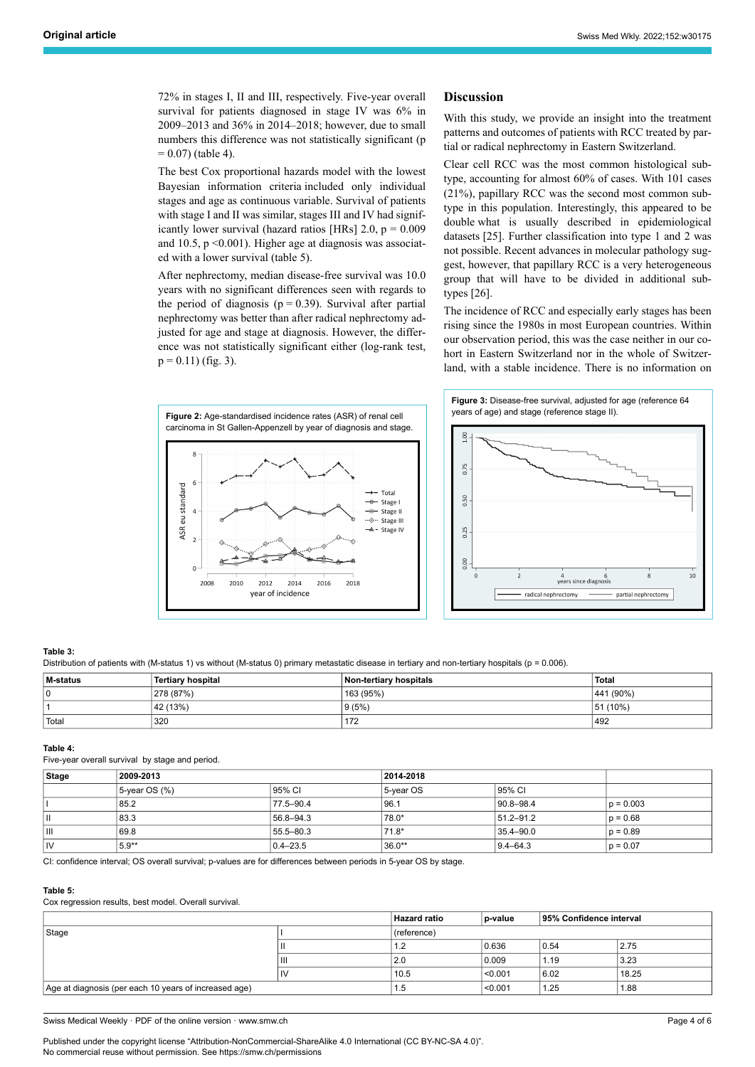72% in stages I, II and III, respectively. Five-year overall survival for patients diagnosed in stage IV was 6% in 2009–2013 and 36% in 2014–2018; however, due to small numbers this difference was not statistically significant (p  $= 0.07$ ) (table 4).

The best Cox proportional hazards model with the lowest Bayesian information criteria included only individual stages and age as continuous variable. Survival of patients with stage I and II was similar, stages III and IV had significantly lower survival (hazard ratios [HRs]  $2.0, p = 0.009$ and  $10.5$ ,  $p \le 0.001$ ). Higher age at diagnosis was associated with a lower survival (table 5).

After nephrectomy, median disease-free survival was 10.0 years with no significant differences seen with regards to the period of diagnosis ( $p = 0.39$ ). Survival after partial nephrectomy was better than after radical nephrectomy adjusted for age and stage at diagnosis. However, the difference was not statistically significant either (log-rank test,  $p = 0.11$ ) (fig. 3).

# **Discussion**

With this study, we provide an insight into the treatment patterns and outcomes of patients with RCC treated by partial or radical nephrectomy in Eastern Switzerland.

Clear cell RCC was the most common histological subtype, accounting for almost 60% of cases. With 101 cases (21%), papillary RCC was the second most common subtype in this population. Interestingly, this appeared to be double what is usually described in epidemiological datasets [25]. Further classification into type 1 and 2 was not possible. Recent advances in molecular pathology suggest, however, that papillary RCC is a very heterogeneous group that will have to be divided in additional subtypes [26].

The incidence of RCC and especially early stages has been rising since the 1980s in most European countries. Within our observation period, this was the case neither in our cohort in Eastern Switzerland nor in the whole of Switzerland, with a stable incidence. There is no information on





# **Table 3:**

Distribution of patients with (M-status 1) vs without (M-status 0) primary metastatic disease in tertiary and non-tertiary hospitals (p = 0.006).

| M-status | <b>Tertiary hospital</b> | Non-tertiary hospitals | <b>Total</b> |
|----------|--------------------------|------------------------|--------------|
| υ        | 278 (87%)                | 163 (95%)              | 441 (90%)    |
|          | 42 (13%)                 | 9(5%)                  | 51 (10%)     |
| ' Total  | 320                      | 172                    | 492          |

#### **Table 4:**

Five-year overall survival by stage and period.

| Stage | 2009-2013           |              | 2014-2018 |                |             |
|-------|---------------------|--------------|-----------|----------------|-------------|
|       | $5$ -year OS $(\%)$ | 95% CI       | 5-year OS | 95% CI         |             |
|       | 85.2                | 77.5-90.4    | 96.1      | $90.8 - 98.4$  | $p = 0.003$ |
| l١    | 83.3                | 56.8-94.3    | 78.0*     | $151.2 - 91.2$ | $p = 0.68$  |
| l III | 69.8                | 55.5 - 80.3  | 71.8*     | 35.4-90.0      | $p = 0.89$  |
| İIV   | 5.9**               | $0.4 - 23.5$ | $36.0**$  | $9.4 - 64.3$   | $p = 0.07$  |

CI: confidence interval; OS overall survival; p-values are for differences between periods in 5-year OS by stage.

#### **Table 5:**

Cox regression results, best model. Overall survival.

|                                                       |                | <b>Hazard ratio</b> | 95% Confidence interval<br>p-value |      |       |
|-------------------------------------------------------|----------------|---------------------|------------------------------------|------|-------|
| Stage                                                 |                | (reference)         |                                    |      |       |
|                                                       | Ш              | $\overline{1}$      | 0.636                              | 0.54 | 2.75  |
|                                                       | $\mathbf{III}$ | 2.0                 | 0.009                              | 1.19 | 3.23  |
|                                                       | $\mathsf{D}$   | 10.5                | < 0.001                            | 6.02 | 18.25 |
| Age at diagnosis (per each 10 years of increased age) |                | 1.5                 | < 0.001                            | 1.25 | 1.88  |

Swiss Medical Weekly · PDF of the online version · www.smw.ch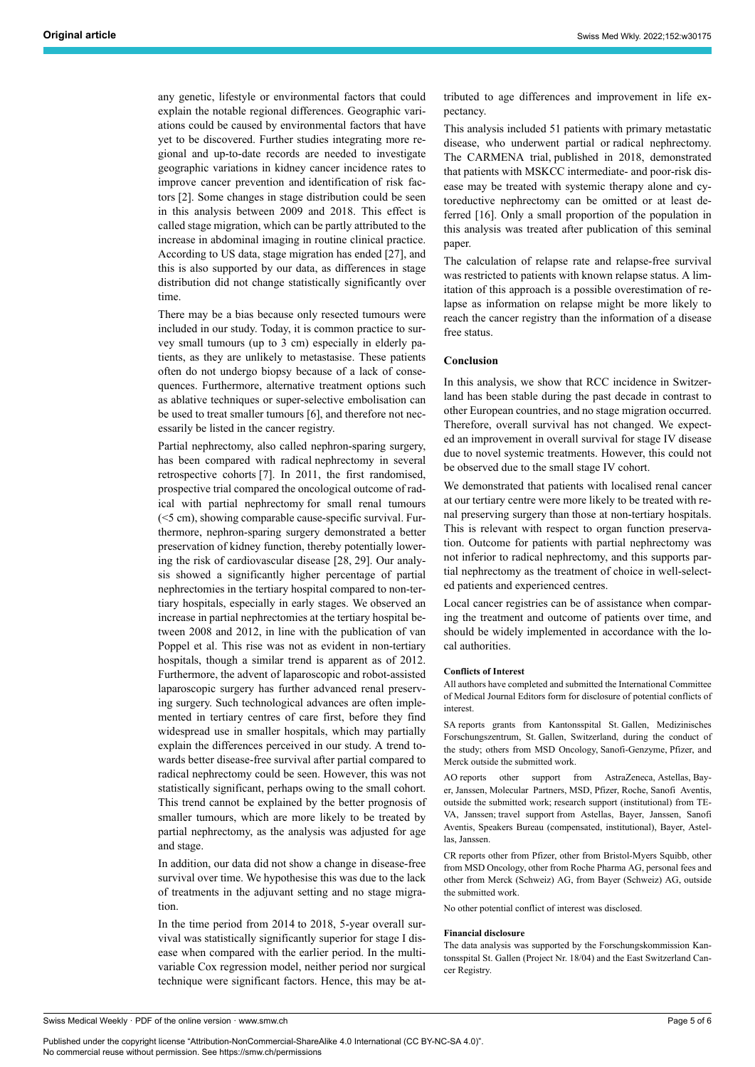any genetic, lifestyle or environmental factors that could explain the notable regional differences. Geographic variations could be caused by environmental factors that have yet to be discovered. Further studies integrating more regional and up-to-date records are needed to investigate geographic variations in kidney cancer incidence rates to improve cancer prevention and identification of risk factors [2]. Some changes in stage distribution could be seen in this analysis between 2009 and 2018. This effect is called stage migration, which can be partly attributed to the increase in abdominal imaging in routine clinical practice. According to US data, stage migration has ended [27], and this is also supported by our data, as differences in stage distribution did not change statistically significantly over time.

There may be a bias because only resected tumours were included in our study. Today, it is common practice to survey small tumours (up to 3 cm) especially in elderly patients, as they are unlikely to metastasise. These patients often do not undergo biopsy because of a lack of consequences. Furthermore, alternative treatment options such as ablative techniques or super-selective embolisation can be used to treat smaller tumours [6], and therefore not necessarily be listed in the cancer registry.

Partial nephrectomy, also called nephron-sparing surgery, has been compared with radical nephrectomy in several retrospective cohorts [7]. In 2011, the first randomised, prospective trial compared the oncological outcome of radical with partial nephrectomy for small renal tumours (<5 cm), showing comparable cause-specific survival. Furthermore, nephron-sparing surgery demonstrated a better preservation of kidney function, thereby potentially lowering the risk of cardiovascular disease [28, 29]. Our analysis showed a significantly higher percentage of partial nephrectomies in the tertiary hospital compared to non-tertiary hospitals, especially in early stages. We observed an increase in partial nephrectomies at the tertiary hospital between 2008 and 2012, in line with the publication of van Poppel et al. This rise was not as evident in non-tertiary hospitals, though a similar trend is apparent as of 2012. Furthermore, the advent of laparoscopic and robot-assisted laparoscopic surgery has further advanced renal preserving surgery. Such technological advances are often implemented in tertiary centres of care first, before they find widespread use in smaller hospitals, which may partially explain the differences perceived in our study. A trend towards better disease-free survival after partial compared to radical nephrectomy could be seen. However, this was not statistically significant, perhaps owing to the small cohort. This trend cannot be explained by the better prognosis of smaller tumours, which are more likely to be treated by partial nephrectomy, as the analysis was adjusted for age and stage.

In addition, our data did not show a change in disease-free survival over time. We hypothesise this was due to the lack of treatments in the adjuvant setting and no stage migration.

In the time period from 2014 to 2018, 5-year overall survival was statistically significantly superior for stage I disease when compared with the earlier period. In the multivariable Cox regression model, neither period nor surgical technique were significant factors. Hence, this may be attributed to age differences and improvement in life expectancy.

This analysis included 51 patients with primary metastatic disease, who underwent partial or radical nephrectomy. The CARMENA trial, published in 2018, demonstrated that patients with MSKCC intermediate- and poor-risk disease may be treated with systemic therapy alone and cytoreductive nephrectomy can be omitted or at least deferred [16]. Only a small proportion of the population in this analysis was treated after publication of this seminal paper.

The calculation of relapse rate and relapse-free survival was restricted to patients with known relapse status. A limitation of this approach is a possible overestimation of relapse as information on relapse might be more likely to reach the cancer registry than the information of a disease free status.

### **Conclusion**

In this analysis, we show that RCC incidence in Switzerland has been stable during the past decade in contrast to other European countries, and no stage migration occurred. Therefore, overall survival has not changed. We expected an improvement in overall survival for stage IV disease due to novel systemic treatments. However, this could not be observed due to the small stage IV cohort.

We demonstrated that patients with localised renal cancer at our tertiary centre were more likely to be treated with renal preserving surgery than those at non-tertiary hospitals. This is relevant with respect to organ function preservation. Outcome for patients with partial nephrectomy was not inferior to radical nephrectomy, and this supports partial nephrectomy as the treatment of choice in well-selected patients and experienced centres.

Local cancer registries can be of assistance when comparing the treatment and outcome of patients over time, and should be widely implemented in accordance with the local authorities.

# **Conflicts of Interest**

All authors have completed and submitted the International Committee of Medical Journal Editors form for disclosure of potential conflicts of interest.

SA reports grants from Kantonsspital St. Gallen, Medizinisches Forschungszentrum, St. Gallen, Switzerland, during the conduct of the study; others from MSD Oncology, Sanofi-Genzyme, Pfizer, and Merck outside the submitted work.

AO reports other support from AstraZeneca, Astellas, Bayer, Janssen, Molecular Partners, MSD, Pfizer, Roche, Sanofi Aventis, outside the submitted work; research support (institutional) from TE-VA, Janssen; travel support from Astellas, Bayer, Janssen, Sanofi Aventis, Speakers Bureau (compensated, institutional), Bayer, Astellas, Janssen.

CR reports other from Pfizer, other from Bristol-Myers Squibb, other from MSD Oncology, other from Roche Pharma AG, personal fees and other from Merck (Schweiz) AG, from Bayer (Schweiz) AG, outside the submitted work.

No other potential conflict of interest was disclosed.

#### **Financial disclosure**

The data analysis was supported by the Forschungskommission Kantonsspital St. Gallen (Project Nr. 18/04) and the East Switzerland Cancer Registry.